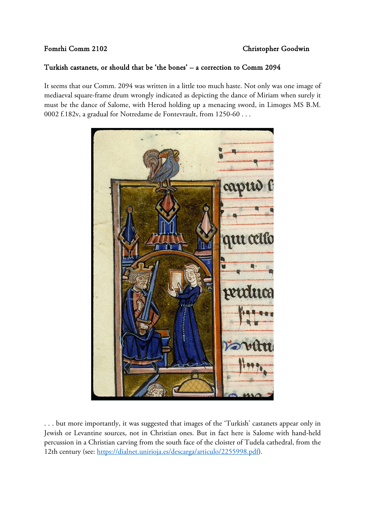## Turkish castanets, or should that be 'the bones' – a correction to Comm 2094

It seems that our Comm. 2094 was written in a little too much haste. Not only was one image of mediaeval square-frame drum wrongly indicated as depicting the dance of Miriam when surely it must be the dance of Salome, with Herod holding up a menacing sword, in Limoges MS B.M. 0002 f.182v, a gradual for Notredame de Fontevrault, from 1250-60 . . .



. . . but more importantly, it was suggested that images of the 'Turkish' castanets appear only in Jewish or Levantine sources, not in Christian ones. But in fact here is Salome with hand-held percussion in a Christian carving from the south face of the cloister of Tudela cathedral, from the 12th century (see: [https://dialnet.unirioja.es/descarga/articulo/2255998.pdf\)](https://dialnet.unirioja.es/descarga/articulo/2255998.pdf).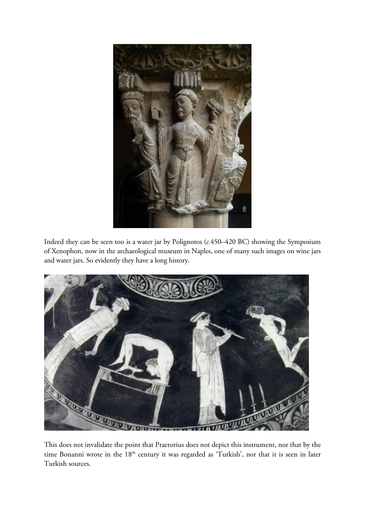

Indeed they can be seen too is a water jar by Polignotos (*c.*450–420 BC) showing the Symposium of Xenophon, now in the archaeological museum in Naples, one of many such images on wine jars and water jars. So evidently they have a long history.



This does not invalidate the point that Praetorius does not depict this instrument, nor that by the time Bonanni wrote in the 18<sup>th</sup> century it was regarded as 'Turkish', nor that it is seen in later Turkish sources.